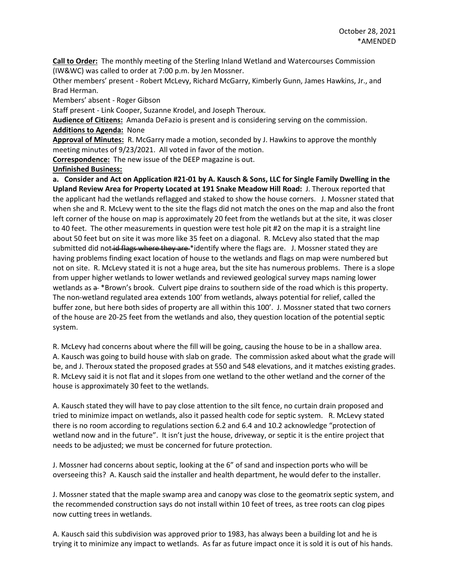**Call to Order:** The monthly meeting of the Sterling Inland Wetland and Watercourses Commission (IW&WC) was called to order at 7:00 p.m. by Jen Mossner.

Other members' present - Robert McLevy, Richard McGarry, Kimberly Gunn, James Hawkins, Jr., and Brad Herman.

Members' absent - Roger Gibson

Staff present - Link Cooper, Suzanne Krodel, and Joseph Theroux.

**Audience of Citizens:** Amanda DeFazio is present and is considering serving on the commission.

**Additions to Agenda:** None

**Approval of Minutes:** R. McGarry made a motion, seconded by J. Hawkins to approve the monthly meeting minutes of 9/23/2021. All voted in favor of the motion.

**Correspondence:** The new issue of the DEEP magazine is out.

**Unfinished Business:** 

**a. Consider and Act on Application #21-01 by A. Kausch & Sons, LLC for Single Family Dwelling in the Upland Review Area for Property Located at 191 Snake Meadow Hill Road:** J. Theroux reported that the applicant had the wetlands reflagged and staked to show the house corners. J. Mossner stated that when she and R. McLevy went to the site the flags did not match the ones on the map and also the front left corner of the house on map is approximately 20 feet from the wetlands but at the site, it was closer to 40 feet. The other measurements in question were test hole pit #2 on the map it is a straight line about 50 feet but on site it was more like 35 feet on a diagonal. R. McLevy also stated that the map submitted did not id flags where they are \*identify where the flags are. J. Mossner stated they are having problems finding exact location of house to the wetlands and flags on map were numbered but not on site. R. McLevy stated it is not a huge area, but the site has numerous problems. There is a slope from upper higher wetlands to lower wetlands and reviewed geological survey maps naming lower wetlands as  $a + *Brown's$  brook. Culvert pipe drains to southern side of the road which is this property. The non-wetland regulated area extends 100' from wetlands, always potential for relief, called the buffer zone, but here both sides of property are all within this 100'. J. Mossner stated that two corners of the house are 20-25 feet from the wetlands and also, they question location of the potential septic system.

R. McLevy had concerns about where the fill will be going, causing the house to be in a shallow area. A. Kausch was going to build house with slab on grade. The commission asked about what the grade will be, and J. Theroux stated the proposed grades at 550 and 548 elevations, and it matches existing grades. R. McLevy said it is not flat and it slopes from one wetland to the other wetland and the corner of the house is approximately 30 feet to the wetlands.

A. Kausch stated they will have to pay close attention to the silt fence, no curtain drain proposed and tried to minimize impact on wetlands, also it passed health code for septic system. R. McLevy stated there is no room according to regulations section 6.2 and 6.4 and 10.2 acknowledge "protection of wetland now and in the future". It isn't just the house, driveway, or septic it is the entire project that needs to be adjusted; we must be concerned for future protection.

J. Mossner had concerns about septic, looking at the 6" of sand and inspection ports who will be overseeing this? A. Kausch said the installer and health department, he would defer to the installer.

J. Mossner stated that the maple swamp area and canopy was close to the geomatrix septic system, and the recommended construction says do not install within 10 feet of trees, as tree roots can clog pipes now cutting trees in wetlands.

A. Kausch said this subdivision was approved prior to 1983, has always been a building lot and he is trying it to minimize any impact to wetlands. As far as future impact once it is sold it is out of his hands.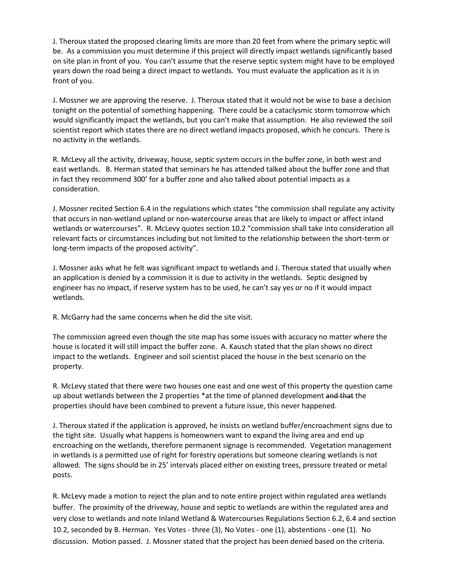J. Theroux stated the proposed clearing limits are more than 20 feet from where the primary septic will be. As a commission you must determine if this project will directly impact wetlands significantly based on site plan in front of you. You can't assume that the reserve septic system might have to be employed years down the road being a direct impact to wetlands. You must evaluate the application as it is in front of you.

J. Mossner we are approving the reserve. J. Theroux stated that it would not be wise to base a decision tonight on the potential of something happening. There could be a cataclysmic storm tomorrow which would significantly impact the wetlands, but you can't make that assumption. He also reviewed the soil scientist report which states there are no direct wetland impacts proposed, which he concurs. There is no activity in the wetlands.

R. McLevy all the activity, driveway, house, septic system occurs in the buffer zone, in both west and east wetlands. B. Herman stated that seminars he has attended talked about the buffer zone and that in fact they recommend 300' for a buffer zone and also talked about potential impacts as a consideration.

J. Mossner recited Section 6.4 in the regulations which states "the commission shall regulate any activity that occurs in non-wetland upland or non-watercourse areas that are likely to impact or affect inland wetlands or watercourses". R. McLevy quotes section 10.2 "commission shall take into consideration all relevant facts or circumstances including but not limited to the relationship between the short-term or long-term impacts of the proposed activity".

J. Mossner asks what he felt was significant impact to wetlands and J. Theroux stated that usually when an application is denied by a commission it is due to activity in the wetlands. Septic designed by engineer has no impact, if reserve system has to be used, he can't say yes or no if it would impact wetlands.

R. McGarry had the same concerns when he did the site visit.

The commission agreed even though the site map has some issues with accuracy no matter where the house is located it will still impact the buffer zone. A. Kausch stated that the plan shows no direct impact to the wetlands. Engineer and soil scientist placed the house in the best scenario on the property.

R. McLevy stated that there were two houses one east and one west of this property the question came up about wetlands between the 2 properties \*at the time of planned development and that the properties should have been combined to prevent a future issue, this never happened.

J. Theroux stated if the application is approved, he insists on wetland buffer/encroachment signs due to the tight site. Usually what happens is homeowners want to expand the living area and end up encroaching on the wetlands, therefore permanent signage is recommended. Vegetation management in wetlands is a permitted use of right for forestry operations but someone clearing wetlands is not allowed. The signs should be in 25' intervals placed either on existing trees, pressure treated or metal posts.

R. McLevy made a motion to reject the plan and to note entire project within regulated area wetlands buffer. The proximity of the driveway, house and septic to wetlands are within the regulated area and very close to wetlands and note Inland Wetland & Watercourses Regulations Section 6.2, 6.4 and section 10.2, seconded by B. Herman. Yes Votes - three (3), No Votes - one (1), abstentions - one (1). No discussion. Motion passed. J. Mossner stated that the project has been denied based on the criteria.